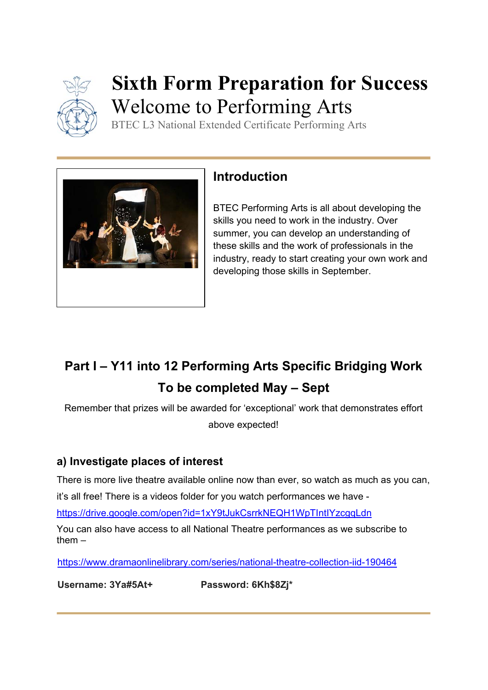

# **Sixth Form Preparation for Success**  Welcome to Performing Arts

BTEC L3 National Extended Certificate Performing Arts



# **Introduction**

BTEC Performing Arts is all about developing the skills you need to work in the industry. Over summer, you can develop an understanding of these skills and the work of professionals in the industry, ready to start creating your own work and developing those skills in September.

# **Part I – Y11 into 12 Performing Arts Specific Bridging Work To be completed May – Sept**

Remember that prizes will be awarded for 'exceptional' work that demonstrates effort above expected!

## **a) Investigate places of interest**

There is more live theatre available online now than ever, so watch as much as you can,

it's all free! There is a videos folder for you watch performances we have -

https://drive.google.com/open?id=1xY9tJukCsrrkNEQH1WpTIntIYzcgqLdn

You can also have access to all National Theatre performances as we subscribe to them –

https://www.dramaonlinelibrary.com/series/national-theatre-collection-iid-190464

**Username: 3Ya#5At+ Password: 6Kh\$8Zj\***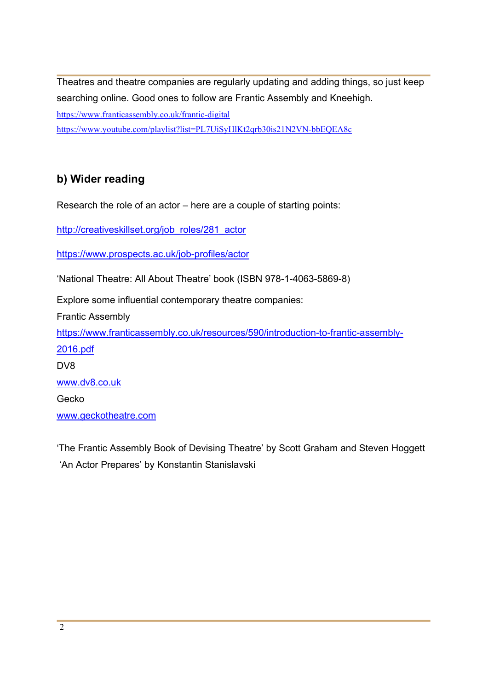Theatres and theatre companies are regularly updating and adding things, so just keep searching online. Good ones to follow are Frantic Assembly and Kneehigh. https://www.franticassembly.co.uk/frantic-digital https://www.youtube.com/playlist?list=PL7UiSyHlKt2qrb30is21N2VN-bbEQEA8c

#### **b) Wider reading**

Research the role of an actor – here are a couple of starting points:

http://creativeskillset.org/job\_roles/281\_actor

https://www.prospects.ac.uk/job-profiles/actor

'National Theatre: All About Theatre' book (ISBN 978-1-4063-5869-8)

Explore some influential contemporary theatre companies:

Frantic Assembly

https://www.franticassembly.co.uk/resources/590/introduction-to-frantic-assembly-

2016.pdf DV8

www.dv8.co.uk

Gecko

www.geckotheatre.com

'The Frantic Assembly Book of Devising Theatre' by Scott Graham and Steven Hoggett 'An Actor Prepares' by Konstantin Stanislavski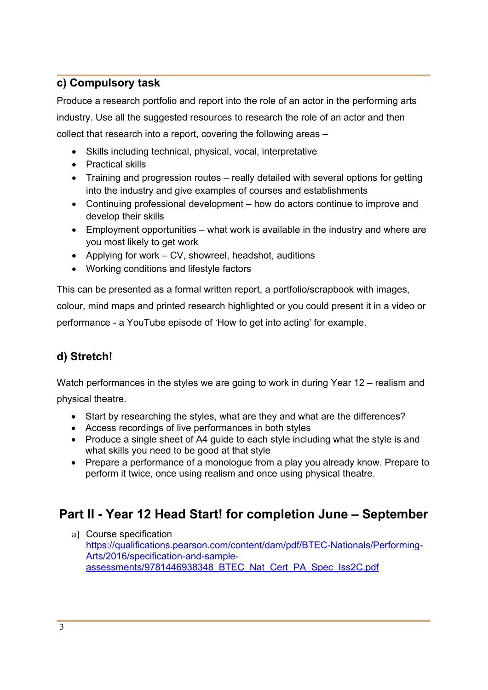#### **c) Compulsory task**

Produce a research portfolio and report into the role of an actor in the performing arts industry. Use all the suggested resources to research the role of an actor and then collect that research into a report, covering the following areas –

- Skills including technical, physical, vocal, interpretative
- Practical skills
- Training and progression routes really detailed with several options for getting into the industry and give examples of courses and establishments
- Continuing professional development how do actors continue to improve and develop their skills
- Employment opportunities what work is available in the industry and where are you most likely to get work
- Applying for work CV, showreel, headshot, auditions
- Working conditions and lifestyle factors

This can be presented as a formal written report, a portfolio/scrapbook with images, colour, mind maps and printed research highlighted or you could present it in a video or performance - a YouTube episode of 'How to get into acting' for example.

## **d) Stretch!**

Watch performances in the styles we are going to work in during Year 12 – realism and physical theatre.

- Start by researching the styles, what are they and what are the differences?
- Access recordings of live performances in both styles
- Produce a single sheet of A4 guide to each style including what the style is and what skills you need to be good at that style
- Prepare a performance of a monologue from a play you already know. Prepare to perform it twice, once using realism and once using physical theatre.

# **Part II - Year 12 Head Start! for completion June – September**

a) Course specification https://qualifications.pearson.com/content/dam/pdf/BTEC-Nationals/Performing-Arts/2016/specification-and-sampleassessments/9781446938348\_BTEC\_Nat\_Cert\_PA\_Spec\_Iss2C.pdf